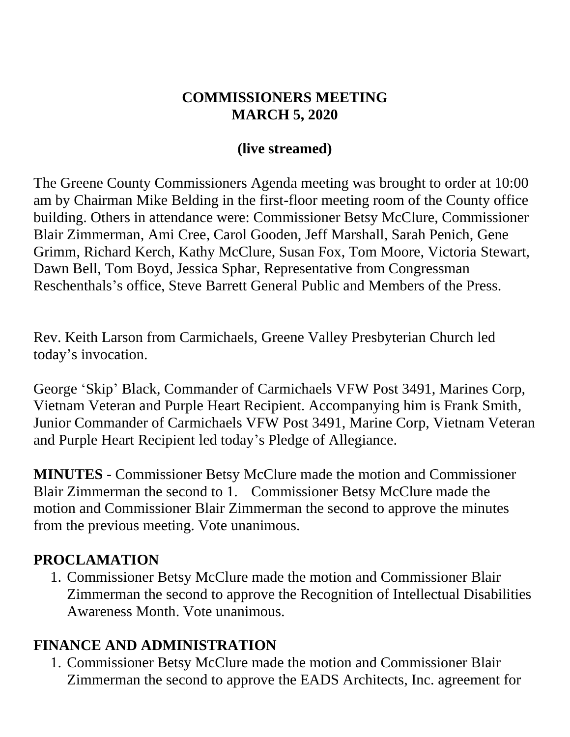#### **COMMISSIONERS MEETING MARCH 5, 2020**

#### **(live streamed)**

The Greene County Commissioners Agenda meeting was brought to order at 10:00 am by Chairman Mike Belding in the first-floor meeting room of the County office building. Others in attendance were: Commissioner Betsy McClure, Commissioner Blair Zimmerman, Ami Cree, Carol Gooden, Jeff Marshall, Sarah Penich, Gene Grimm, Richard Kerch, Kathy McClure, Susan Fox, Tom Moore, Victoria Stewart, Dawn Bell, Tom Boyd, Jessica Sphar, Representative from Congressman Reschenthals's office, Steve Barrett General Public and Members of the Press.

Rev. Keith Larson from Carmichaels, Greene Valley Presbyterian Church led today's invocation.

George 'Skip' Black, Commander of Carmichaels VFW Post 3491, Marines Corp, Vietnam Veteran and Purple Heart Recipient. Accompanying him is Frank Smith, Junior Commander of Carmichaels VFW Post 3491, Marine Corp, Vietnam Veteran and Purple Heart Recipient led today's Pledge of Allegiance.

**MINUTES** - Commissioner Betsy McClure made the motion and Commissioner Blair Zimmerman the second to 1. Commissioner Betsy McClure made the motion and Commissioner Blair Zimmerman the second to approve the minutes from the previous meeting. Vote unanimous.

### **PROCLAMATION**

1. Commissioner Betsy McClure made the motion and Commissioner Blair Zimmerman the second to approve the Recognition of Intellectual Disabilities Awareness Month. Vote unanimous.

#### **FINANCE AND ADMINISTRATION**

1. Commissioner Betsy McClure made the motion and Commissioner Blair Zimmerman the second to approve the EADS Architects, Inc. agreement for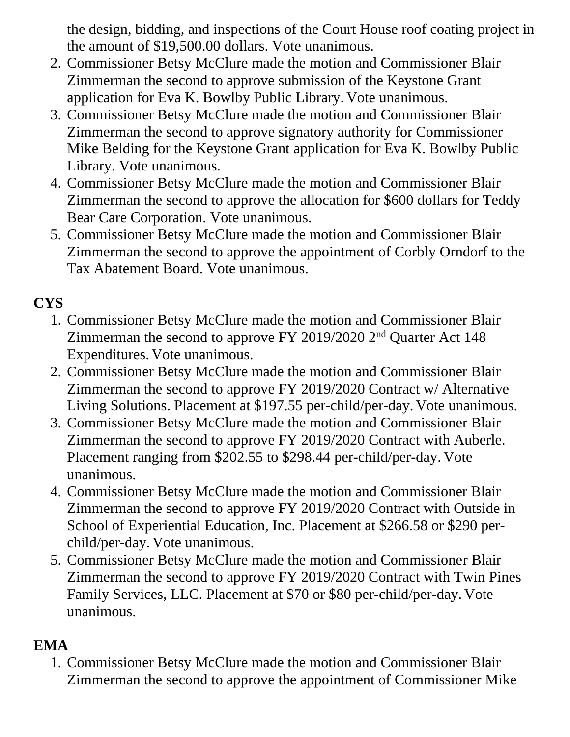the design, bidding, and inspections of the Court House roof coating project in the amount of \$19,500.00 dollars. Vote unanimous.

- 2. Commissioner Betsy McClure made the motion and Commissioner Blair Zimmerman the second to approve submission of the Keystone Grant application for Eva K. Bowlby Public Library. Vote unanimous.
- 3. Commissioner Betsy McClure made the motion and Commissioner Blair Zimmerman the second to approve signatory authority for Commissioner Mike Belding for the Keystone Grant application for Eva K. Bowlby Public Library. Vote unanimous.
- 4. Commissioner Betsy McClure made the motion and Commissioner Blair Zimmerman the second to approve the allocation for \$600 dollars for Teddy Bear Care Corporation. Vote unanimous.
- 5. Commissioner Betsy McClure made the motion and Commissioner Blair Zimmerman the second to approve the appointment of Corbly Orndorf to the Tax Abatement Board. Vote unanimous.

# **CYS**

- 1. Commissioner Betsy McClure made the motion and Commissioner Blair Zimmerman the second to approve FY 2019/2020 2nd Quarter Act 148 Expenditures. Vote unanimous.
- 2. Commissioner Betsy McClure made the motion and Commissioner Blair Zimmerman the second to approve FY 2019/2020 Contract w/ Alternative Living Solutions. Placement at \$197.55 per-child/per-day. Vote unanimous.
- 3. Commissioner Betsy McClure made the motion and Commissioner Blair Zimmerman the second to approve FY 2019/2020 Contract with Auberle. Placement ranging from \$202.55 to \$298.44 per-child/per-day. Vote unanimous.
- 4. Commissioner Betsy McClure made the motion and Commissioner Blair Zimmerman the second to approve FY 2019/2020 Contract with Outside in School of Experiential Education, Inc. Placement at \$266.58 or \$290 perchild/per-day. Vote unanimous.
- 5. Commissioner Betsy McClure made the motion and Commissioner Blair Zimmerman the second to approve FY 2019/2020 Contract with Twin Pines Family Services, LLC. Placement at \$70 or \$80 per-child/per-day. Vote unanimous.

## **EMA**

1. Commissioner Betsy McClure made the motion and Commissioner Blair Zimmerman the second to approve the appointment of Commissioner Mike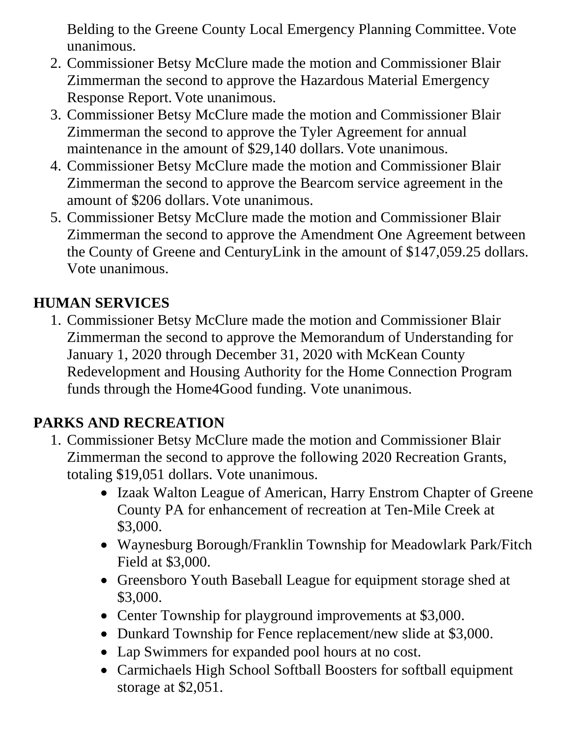Belding to the Greene County Local Emergency Planning Committee. Vote unanimous.

- 2. Commissioner Betsy McClure made the motion and Commissioner Blair Zimmerman the second to approve the Hazardous Material Emergency Response Report. Vote unanimous.
- 3. Commissioner Betsy McClure made the motion and Commissioner Blair Zimmerman the second to approve the Tyler Agreement for annual maintenance in the amount of \$29,140 dollars. Vote unanimous.
- 4. Commissioner Betsy McClure made the motion and Commissioner Blair Zimmerman the second to approve the Bearcom service agreement in the amount of \$206 dollars. Vote unanimous.
- 5. Commissioner Betsy McClure made the motion and Commissioner Blair Zimmerman the second to approve the Amendment One Agreement between the County of Greene and CenturyLink in the amount of \$147,059.25 dollars. Vote unanimous.

# **HUMAN SERVICES**

1. Commissioner Betsy McClure made the motion and Commissioner Blair Zimmerman the second to approve the Memorandum of Understanding for January 1, 2020 through December 31, 2020 with McKean County Redevelopment and Housing Authority for the Home Connection Program funds through the Home4Good funding. Vote unanimous.

# **PARKS AND RECREATION**

- 1. Commissioner Betsy McClure made the motion and Commissioner Blair Zimmerman the second to approve the following 2020 Recreation Grants, totaling \$19,051 dollars. Vote unanimous.
	- Izaak Walton League of American, Harry Enstrom Chapter of Greene County PA for enhancement of recreation at Ten-Mile Creek at \$3,000.
	- Waynesburg Borough/Franklin Township for Meadowlark Park/Fitch Field at \$3,000.
	- Greensboro Youth Baseball League for equipment storage shed at \$3,000.
	- Center Township for playground improvements at \$3,000.
	- Dunkard Township for Fence replacement/new slide at \$3,000.
	- Lap Swimmers for expanded pool hours at no cost.
	- Carmichaels High School Softball Boosters for softball equipment storage at \$2,051.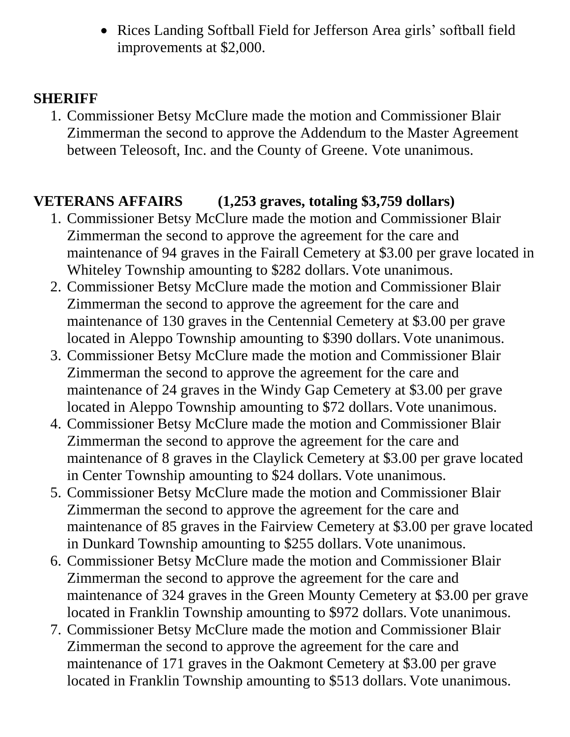• Rices Landing Softball Field for Jefferson Area girls' softball field improvements at \$2,000.

### **SHERIFF**

1. Commissioner Betsy McClure made the motion and Commissioner Blair Zimmerman the second to approve the Addendum to the Master Agreement between Teleosoft, Inc. and the County of Greene. Vote unanimous.

### **VETERANS AFFAIRS (1,253 graves, totaling \$3,759 dollars)**

- 1. Commissioner Betsy McClure made the motion and Commissioner Blair Zimmerman the second to approve the agreement for the care and maintenance of 94 graves in the Fairall Cemetery at \$3.00 per grave located in Whiteley Township amounting to \$282 dollars. Vote unanimous.
- 2. Commissioner Betsy McClure made the motion and Commissioner Blair Zimmerman the second to approve the agreement for the care and maintenance of 130 graves in the Centennial Cemetery at \$3.00 per grave located in Aleppo Township amounting to \$390 dollars. Vote unanimous.
- 3. Commissioner Betsy McClure made the motion and Commissioner Blair Zimmerman the second to approve the agreement for the care and maintenance of 24 graves in the Windy Gap Cemetery at \$3.00 per grave located in Aleppo Township amounting to \$72 dollars. Vote unanimous.
- 4. Commissioner Betsy McClure made the motion and Commissioner Blair Zimmerman the second to approve the agreement for the care and maintenance of 8 graves in the Claylick Cemetery at \$3.00 per grave located in Center Township amounting to \$24 dollars. Vote unanimous.
- 5. Commissioner Betsy McClure made the motion and Commissioner Blair Zimmerman the second to approve the agreement for the care and maintenance of 85 graves in the Fairview Cemetery at \$3.00 per grave located in Dunkard Township amounting to \$255 dollars. Vote unanimous.
- 6. Commissioner Betsy McClure made the motion and Commissioner Blair Zimmerman the second to approve the agreement for the care and maintenance of 324 graves in the Green Mounty Cemetery at \$3.00 per grave located in Franklin Township amounting to \$972 dollars. Vote unanimous.
- 7. Commissioner Betsy McClure made the motion and Commissioner Blair Zimmerman the second to approve the agreement for the care and maintenance of 171 graves in the Oakmont Cemetery at \$3.00 per grave located in Franklin Township amounting to \$513 dollars. Vote unanimous.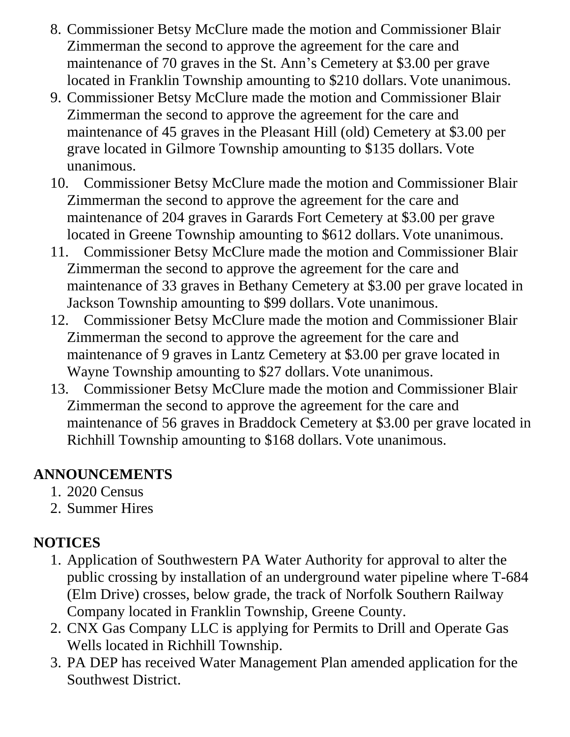- 8. Commissioner Betsy McClure made the motion and Commissioner Blair Zimmerman the second to approve the agreement for the care and maintenance of 70 graves in the St. Ann's Cemetery at \$3.00 per grave located in Franklin Township amounting to \$210 dollars. Vote unanimous.
- 9. Commissioner Betsy McClure made the motion and Commissioner Blair Zimmerman the second to approve the agreement for the care and maintenance of 45 graves in the Pleasant Hill (old) Cemetery at \$3.00 per grave located in Gilmore Township amounting to \$135 dollars. Vote unanimous.
- 10. Commissioner Betsy McClure made the motion and Commissioner Blair Zimmerman the second to approve the agreement for the care and maintenance of 204 graves in Garards Fort Cemetery at \$3.00 per grave located in Greene Township amounting to \$612 dollars. Vote unanimous.
- 11. Commissioner Betsy McClure made the motion and Commissioner Blair Zimmerman the second to approve the agreement for the care and maintenance of 33 graves in Bethany Cemetery at \$3.00 per grave located in Jackson Township amounting to \$99 dollars. Vote unanimous.
- 12. Commissioner Betsy McClure made the motion and Commissioner Blair Zimmerman the second to approve the agreement for the care and maintenance of 9 graves in Lantz Cemetery at \$3.00 per grave located in Wayne Township amounting to \$27 dollars. Vote unanimous.
- 13. Commissioner Betsy McClure made the motion and Commissioner Blair Zimmerman the second to approve the agreement for the care and maintenance of 56 graves in Braddock Cemetery at \$3.00 per grave located in Richhill Township amounting to \$168 dollars. Vote unanimous.

## **ANNOUNCEMENTS**

- 1. 2020 Census
- 2. Summer Hires

# **NOTICES**

- 1. Application of Southwestern PA Water Authority for approval to alter the public crossing by installation of an underground water pipeline where T-684 (Elm Drive) crosses, below grade, the track of Norfolk Southern Railway Company located in Franklin Township, Greene County.
- 2. CNX Gas Company LLC is applying for Permits to Drill and Operate Gas Wells located in Richhill Township.
- 3. PA DEP has received Water Management Plan amended application for the Southwest District.